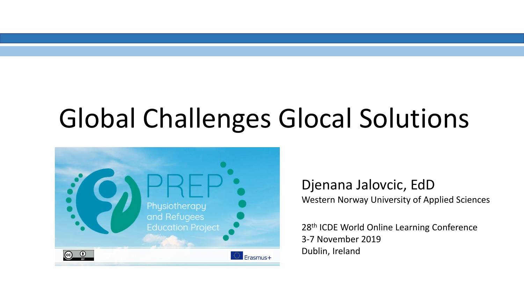### Global Challenges Glocal Solutions



Djenana Jalovcic, EdD Western Norway University of Applied Sciences

28<sup>th</sup> ICDE World Online Learning Conference 3-7 November 2019 Dublin, Ireland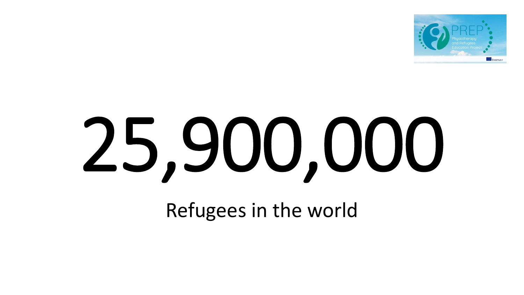

# 25,900,000

Refugees in the world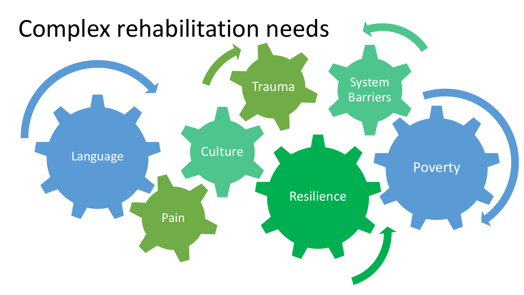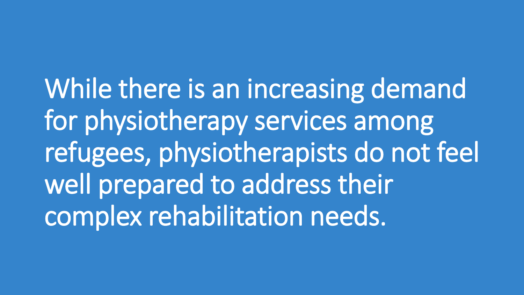While there is an increasing demand for physiotherapy services among refugees, physiotherapists do not feel well prepared to address their complex rehabilitation needs.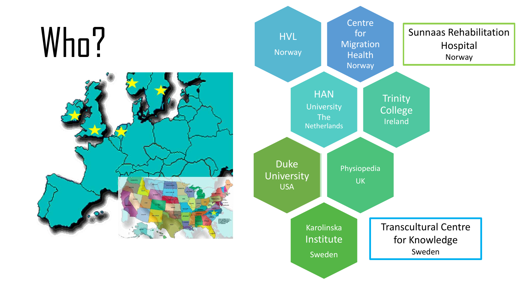## Who?



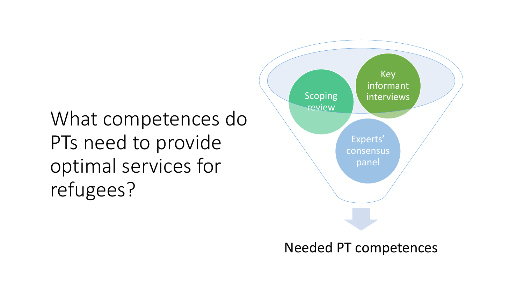#### What competences do PTs need to provide optimal services for refugees?



Needed PT competences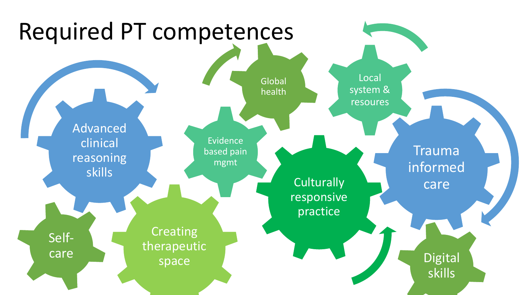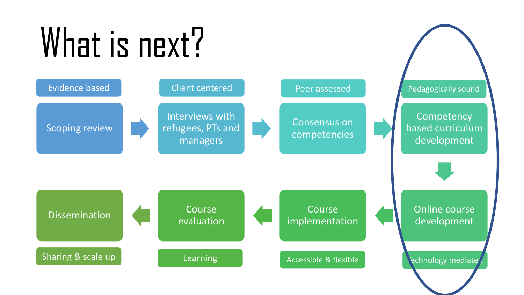## What is next?

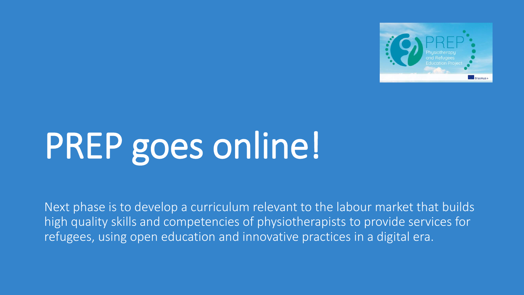

### PREP goes online!

Next phase is to develop a curriculum relevant to the labour market that builds high quality skills and competencies of physiotherapists to provide services for refugees, using open education and innovative practices in a digital era.